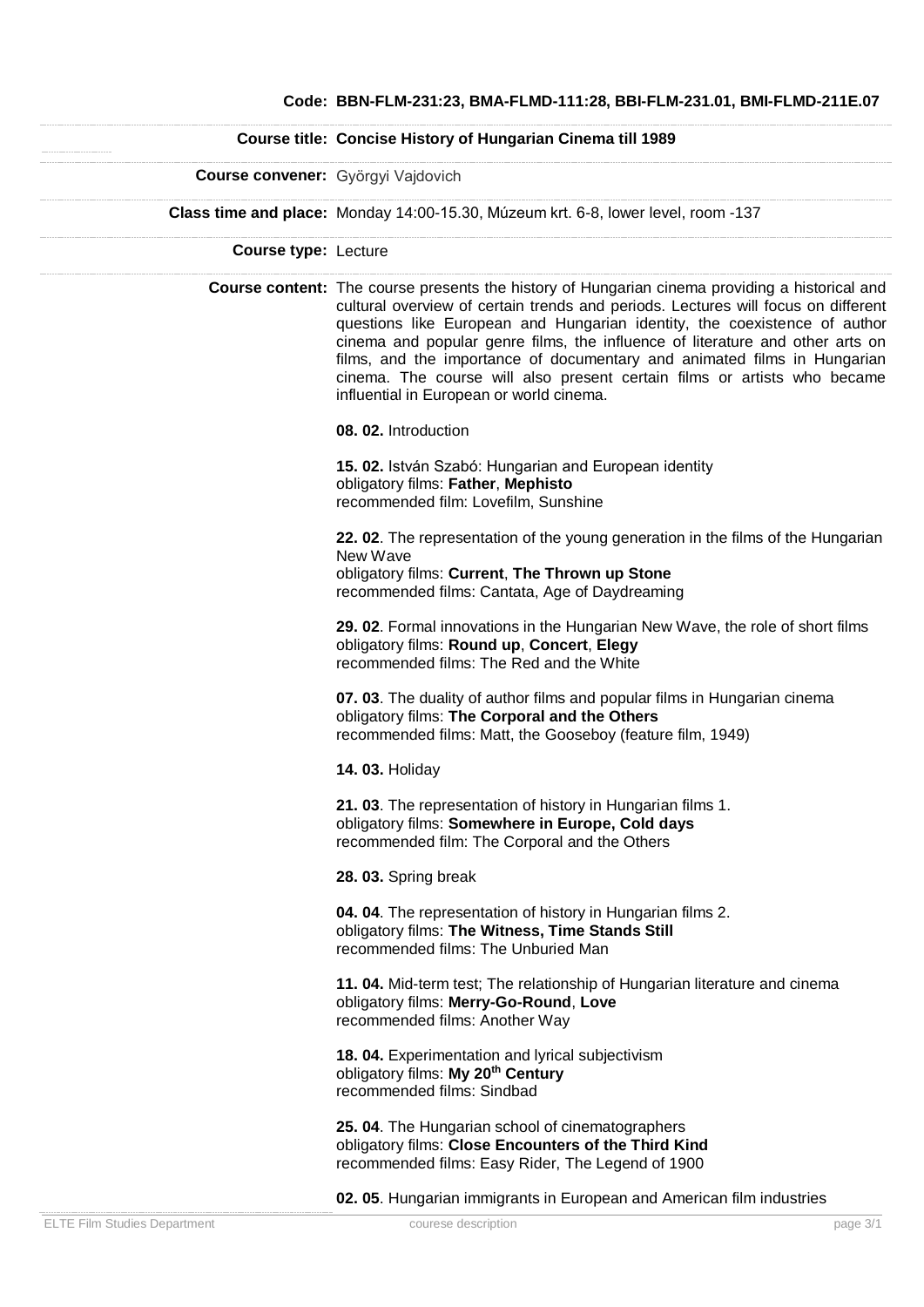## **Course title: Concise History of Hungarian Cinema till 1989 Course convener:** Györgyi Vajdovich **Class time and place:** Monday 14:00-15.30, Múzeum krt. 6-8, lower level, room -137 **Course type:** Lecture **Course content:** The course presents the history of Hungarian cinema providing a historical and cultural overview of certain trends and periods. Lectures will focus on different questions like European and Hungarian identity, the coexistence of author cinema and popular genre films, the influence of literature and other arts on films, and the importance of documentary and animated films in Hungarian cinema. The course will also present certain films or artists who became influential in European or world cinema. **08. 02.** Introduction **15. 02.** István Szabó: Hungarian and European identity obligatory films: **Father**, **Mephisto** recommended film: Lovefilm, Sunshine **22. 02**. The representation of the young generation in the films of the Hungarian New Wave obligatory films: **Current**, **The Thrown up Stone** recommended films: Cantata, Age of Daydreaming **29. 02**. Formal innovations in the Hungarian New Wave, the role of short films obligatory films: **Round up**, **Concert**, **Elegy** recommended films: The Red and the White **07. 03**. The duality of author films and popular films in Hungarian cinema obligatory films: **The Corporal and the Others** recommended films: Matt, the Gooseboy (feature film, 1949) **14. 03.** Holiday **21. 03**. The representation of history in Hungarian films 1. obligatory films: **Somewhere in Europe, Cold days** recommended film: The Corporal and the Others **28. 03.** Spring break **04. 04**. The representation of history in Hungarian films 2. obligatory films: **The Witness, Time Stands Still** recommended films: The Unburied Man **11. 04.** Mid-term test; The relationship of Hungarian literature and cinema obligatory films: **Merry-Go-Round**, **Love** recommended films: Another Way **18. 04.** Experimentation and lyrical subjectivism obligatory films: **My 20th Century** recommended films: Sindbad **25. 04**. The Hungarian school of cinematographers obligatory films: **Close Encounters of the Third Kind** recommended films: Easy Rider, The Legend of 1900

**02. 05**. Hungarian immigrants in European and American film industries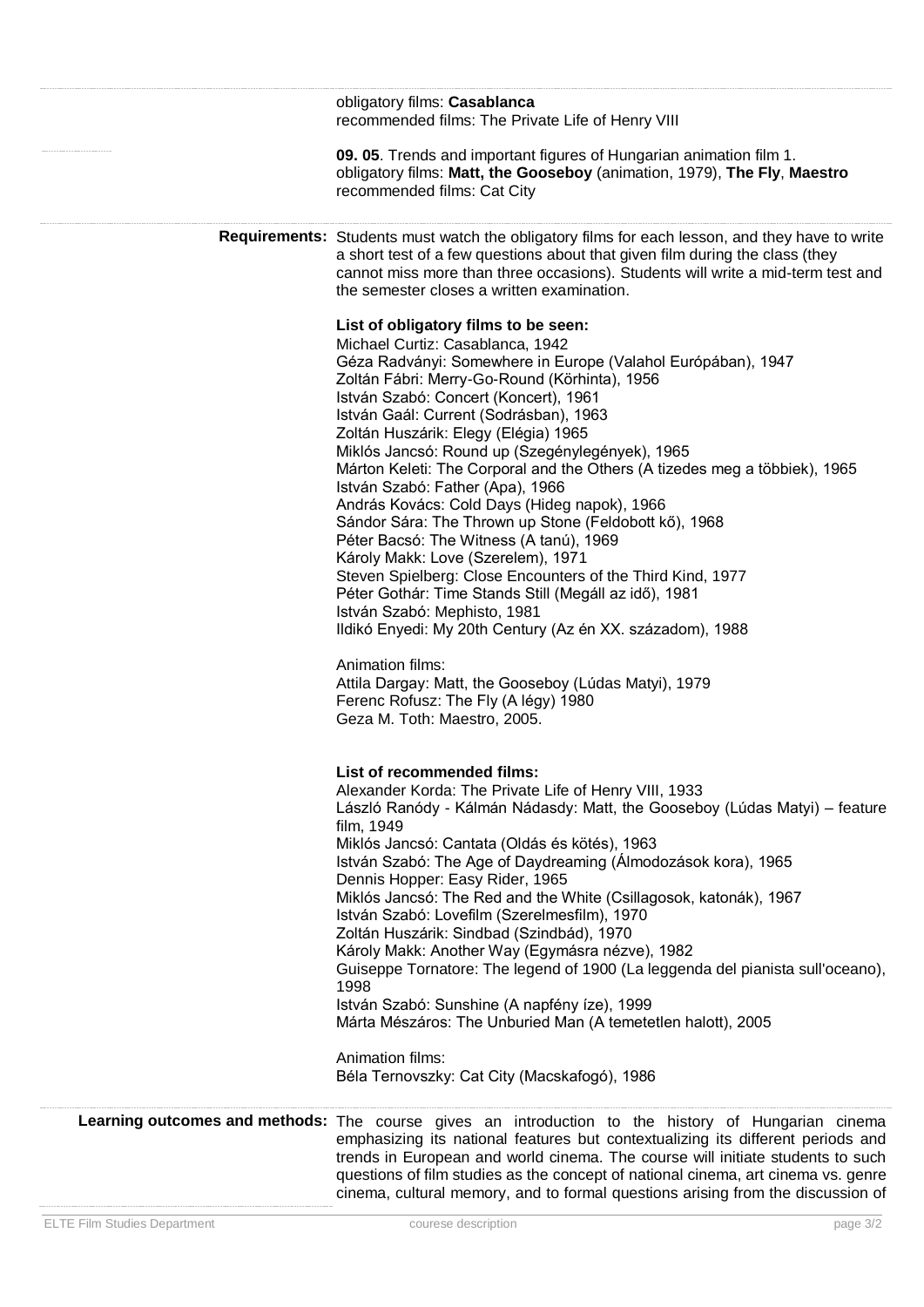| obligatory films: Casablanca<br>recommended films: The Private Life of Henry VIII<br>09. 05. Trends and important figures of Hungarian animation film 1.<br>obligatory films: Matt, the Gooseboy (animation, 1979), The Fly, Maestro<br>recommended films: Cat City                                                                                                                                                                                                                                                                                                                                                                                                                                                                                                                                                                                                                                                                                                                  |
|--------------------------------------------------------------------------------------------------------------------------------------------------------------------------------------------------------------------------------------------------------------------------------------------------------------------------------------------------------------------------------------------------------------------------------------------------------------------------------------------------------------------------------------------------------------------------------------------------------------------------------------------------------------------------------------------------------------------------------------------------------------------------------------------------------------------------------------------------------------------------------------------------------------------------------------------------------------------------------------|
| Requirements: Students must watch the obligatory films for each lesson, and they have to write<br>a short test of a few questions about that given film during the class (they<br>cannot miss more than three occasions). Students will write a mid-term test and<br>the semester closes a written examination.                                                                                                                                                                                                                                                                                                                                                                                                                                                                                                                                                                                                                                                                      |
| List of obligatory films to be seen:<br>Michael Curtiz: Casablanca, 1942<br>Géza Radványi: Somewhere in Europe (Valahol Európában), 1947<br>Zoltán Fábri: Merry-Go-Round (Körhinta), 1956<br>István Szabó: Concert (Koncert), 1961<br>István Gaál: Current (Sodrásban), 1963<br>Zoltán Huszárik: Elegy (Elégia) 1965<br>Miklós Jancsó: Round up (Szegénylegények), 1965<br>Márton Keleti: The Corporal and the Others (A tizedes meg a többiek), 1965<br>István Szabó: Father (Apa), 1966<br>András Kovács: Cold Days (Hideg napok), 1966<br>Sándor Sára: The Thrown up Stone (Feldobott kő), 1968<br>Péter Bacsó: The Witness (A tanú), 1969<br>Károly Makk: Love (Szerelem), 1971<br>Steven Spielberg: Close Encounters of the Third Kind, 1977<br>Péter Gothár: Time Stands Still (Megáll az idő), 1981<br>István Szabó: Mephisto, 1981<br>Ildikó Enyedi: My 20th Century (Az én XX. századom), 1988<br>Animation films:<br>Attila Dargay: Matt, the Gooseboy (Lúdas Matyi), 1979 |
| Ferenc Rofusz: The Fly (A légy) 1980<br>Geza M. Toth: Maestro, 2005.                                                                                                                                                                                                                                                                                                                                                                                                                                                                                                                                                                                                                                                                                                                                                                                                                                                                                                                 |
| List of recommended films:<br>Alexander Korda: The Private Life of Henry VIII, 1933<br>László Ranódy - Kálmán Nádasdy: Matt, the Gooseboy (Lúdas Matyi) - feature<br>film, 1949<br>Miklós Jancsó: Cantata (Oldás és kötés), 1963<br>István Szabó: The Age of Daydreaming (Álmodozások kora), 1965<br>Dennis Hopper: Easy Rider, 1965<br>Miklós Jancsó: The Red and the White (Csillagosok, katonák), 1967<br>István Szabó: Lovefilm (Szerelmesfilm), 1970<br>Zoltán Huszárik: Sindbad (Szindbád), 1970<br>Károly Makk: Another Way (Egymásra nézve), 1982<br>Guiseppe Tornatore: The legend of 1900 (La leggenda del pianista sull'oceano),<br>1998<br>István Szabó: Sunshine (A napfény íze), 1999<br>Márta Mészáros: The Unburied Man (A temetetlen halott), 2005<br>Animation films:<br>Béla Ternovszky: Cat City (Macskafogó), 1986                                                                                                                                              |
| Learning outcomes and methods: The course gives an introduction to the history of Hungarian cinema<br>emphasizing its national features but contextualizing its different periods and<br>trends in European and world cinema. The course will initiate students to such<br>questions of film studies as the concept of national cinema, art cinema vs. genre<br>cinema, cultural memory, and to formal questions arising from the discussion of                                                                                                                                                                                                                                                                                                                                                                                                                                                                                                                                      |